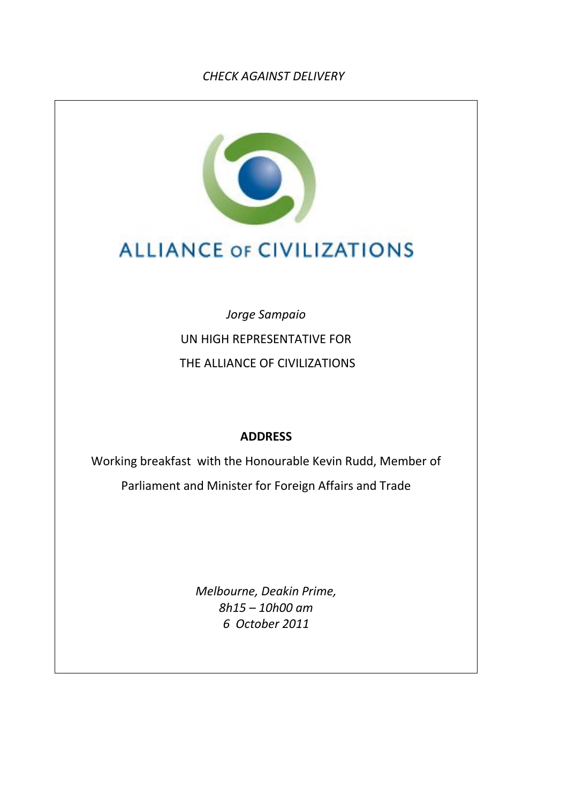## *CHECK AGAINST DELIVERY*



## **ALLIANCE OF CIVILIZATIONS**

*Jorge Sampaio* UN HIGH REPRESENTATIVE FOR THE ALLIANCE OF CIVILIZATIONS

## **ADDRESS**

Working breakfast with the Honourable Kevin Rudd, Member of Parliament and Minister for Foreign Affairs and Trade

> *Melbourne, Deakin Prime, 8h15 – 10h00 am 6 October 2011*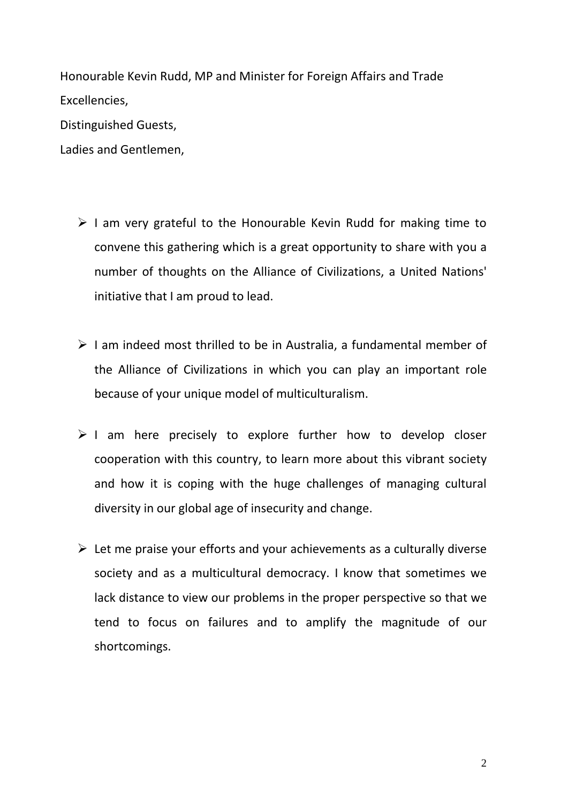Honourable Kevin Rudd, MP and Minister for Foreign Affairs and Trade Excellencies, Distinguished Guests,

Ladies and Gentlemen,

- $\triangleright$  I am very grateful to the Honourable Kevin Rudd for making time to convene this gathering which is a great opportunity to share with you a number of thoughts on the Alliance of Civilizations, a United Nations' initiative that I am proud to lead.
- $\triangleright$  I am indeed most thrilled to be in Australia, a fundamental member of the Alliance of Civilizations in which you can play an important role because of your unique model of multiculturalism.
- $\triangleright$  I am here precisely to explore further how to develop closer cooperation with this country, to learn more about this vibrant society and how it is coping with the huge challenges of managing cultural diversity in our global age of insecurity and change.
- $\triangleright$  Let me praise your efforts and your achievements as a culturally diverse society and as a multicultural democracy. I know that sometimes we lack distance to view our problems in the proper perspective so that we tend to focus on failures and to amplify the magnitude of our shortcomings.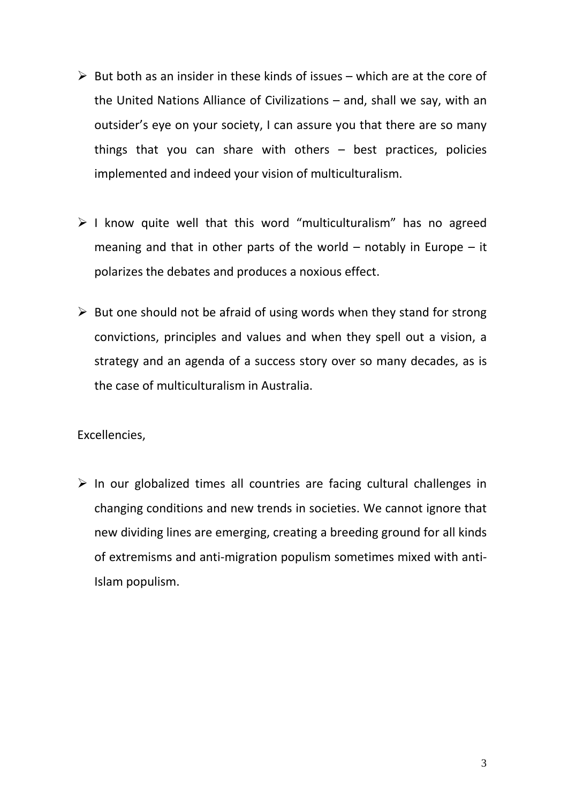- $\triangleright$  But both as an insider in these kinds of issues which are at the core of the United Nations Alliance of Civilizations – and, shall we say, with an outsider's eye on your society, I can assure you that there are so many things that you can share with others – best practices, policies implemented and indeed your vision of multiculturalism.
- $\triangleright$  I know quite well that this word "multiculturalism" has no agreed meaning and that in other parts of the world  $-$  notably in Europe  $-$  it polarizes the debates and produces a noxious effect.
- $\triangleright$  But one should not be afraid of using words when they stand for strong convictions, principles and values and when they spell out a vision, a strategy and an agenda of a success story over so many decades, as is the case of multiculturalism in Australia.

## Excellencies,

 $\triangleright$  In our globalized times all countries are facing cultural challenges in changing conditions and new trends in societies. We cannot ignore that new dividing lines are emerging, creating a breeding ground for all kinds of extremisms and anti-migration populism sometimes mixed with anti-Islam populism.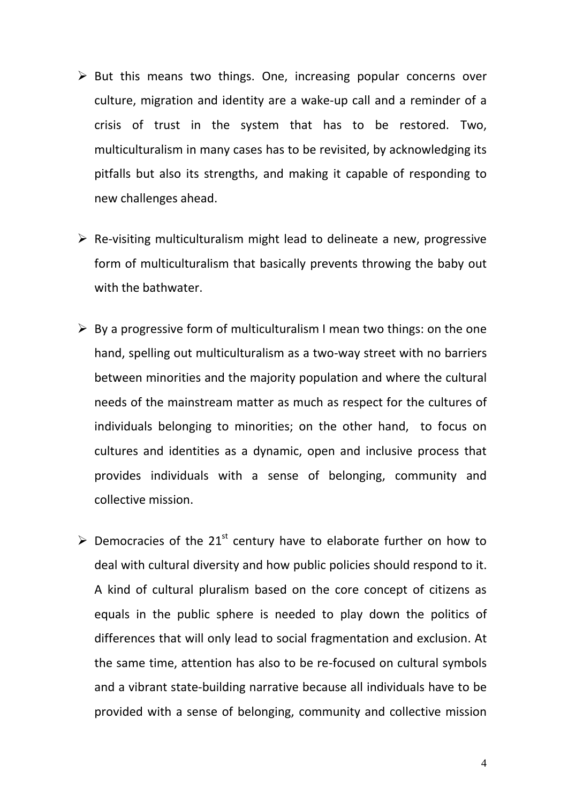- $\triangleright$  But this means two things. One, increasing popular concerns over culture, migration and identity are a wake-up call and a reminder of a crisis of trust in the system that has to be restored. Two, multiculturalism in many cases has to be revisited, by acknowledging its pitfalls but also its strengths, and making it capable of responding to new challenges ahead.
- $\triangleright$  Re-visiting multiculturalism might lead to delineate a new, progressive form of multiculturalism that basically prevents throwing the baby out with the bathwater.
- $\triangleright$  By a progressive form of multiculturalism I mean two things: on the one hand, spelling out multiculturalism as a two-way street with no barriers between minorities and the majority population and where the cultural needs of the mainstream matter as much as respect for the cultures of individuals belonging to minorities; on the other hand, to focus on cultures and identities as a dynamic, open and inclusive process that provides individuals with a sense of belonging, community and collective mission.
- $\triangleright$  Democracies of the 21<sup>st</sup> century have to elaborate further on how to deal with cultural diversity and how public policies should respond to it. A kind of cultural pluralism based on the core concept of citizens as equals in the public sphere is needed to play down the politics of differences that will only lead to social fragmentation and exclusion. At the same time, attention has also to be re-focused on cultural symbols and a vibrant state-building narrative because all individuals have to be provided with a sense of belonging, community and collective mission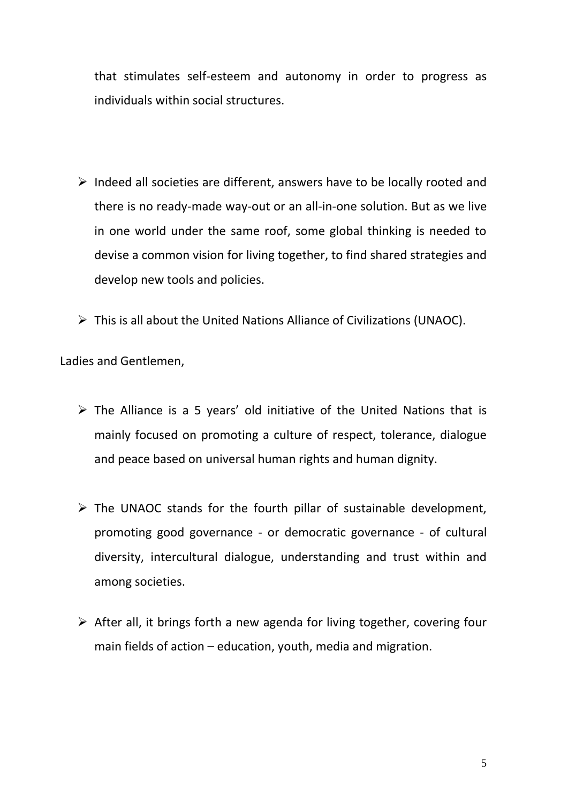that stimulates self-esteem and autonomy in order to progress as individuals within social structures.

- $\triangleright$  Indeed all societies are different, answers have to be locally rooted and there is no ready-made way-out or an all-in-one solution. But as we live in one world under the same roof, some global thinking is needed to devise a common vision for living together, to find shared strategies and develop new tools and policies.
- This is all about the United Nations Alliance of Civilizations (UNAOC).

Ladies and Gentlemen,

- $\triangleright$  The Alliance is a 5 years' old initiative of the United Nations that is mainly focused on promoting a culture of respect, tolerance, dialogue and peace based on universal human rights and human dignity.
- $\triangleright$  The UNAOC stands for the fourth pillar of sustainable development, promoting good governance - or democratic governance - of cultural diversity, intercultural dialogue, understanding and trust within and among societies.
- $\triangleright$  After all, it brings forth a new agenda for living together, covering four main fields of action – education, youth, media and migration.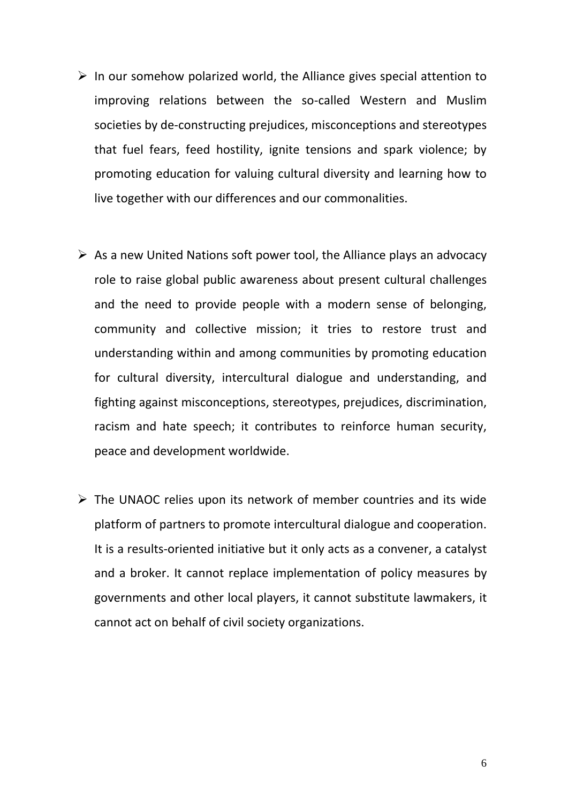- $\triangleright$  In our somehow polarized world, the Alliance gives special attention to improving relations between the so-called Western and Muslim societies by de-constructing prejudices, misconceptions and stereotypes that fuel fears, feed hostility, ignite tensions and spark violence; by promoting education for valuing cultural diversity and learning how to live together with our differences and our commonalities.
- $\triangleright$  As a new United Nations soft power tool, the Alliance plays an advocacy role to raise global public awareness about present cultural challenges and the need to provide people with a modern sense of belonging, community and collective mission; it tries to restore trust and understanding within and among communities by promoting education for cultural diversity, intercultural dialogue and understanding, and fighting against misconceptions, stereotypes, prejudices, discrimination, racism and hate speech; it contributes to reinforce human security, peace and development worldwide.
- $\triangleright$  The UNAOC relies upon its network of member countries and its wide platform of partners to promote intercultural dialogue and cooperation. It is a results-oriented initiative but it only acts as a convener, a catalyst and a broker. It cannot replace implementation of policy measures by governments and other local players, it cannot substitute lawmakers, it cannot act on behalf of civil society organizations.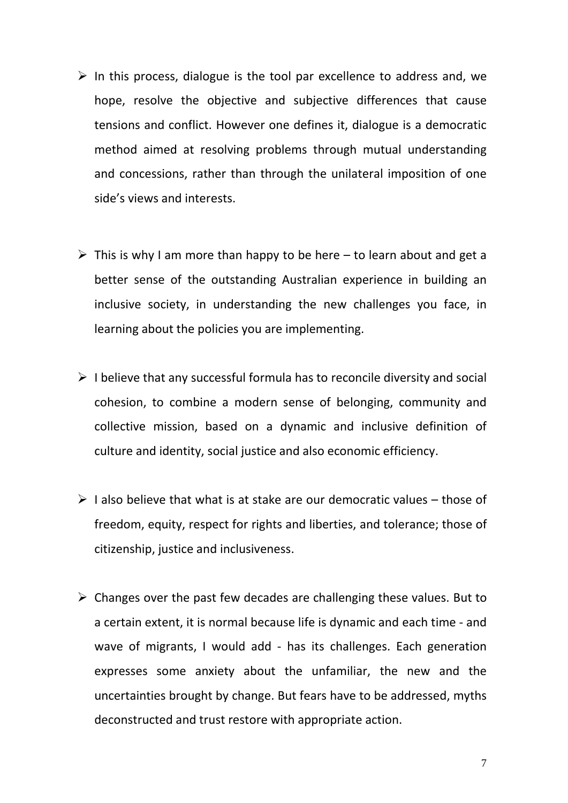- $\triangleright$  In this process, dialogue is the tool par excellence to address and, we hope, resolve the objective and subjective differences that cause tensions and conflict. However one defines it, dialogue is a democratic method aimed at resolving problems through mutual understanding and concessions, rather than through the unilateral imposition of one side's views and interests.
- $\triangleright$  This is why I am more than happy to be here to learn about and get a better sense of the outstanding Australian experience in building an inclusive society, in understanding the new challenges you face, in learning about the policies you are implementing.
- $\triangleright$  I believe that any successful formula has to reconcile diversity and social cohesion, to combine a modern sense of belonging, community and collective mission, based on a dynamic and inclusive definition of culture and identity, social justice and also economic efficiency.
- $\triangleright$  I also believe that what is at stake are our democratic values those of freedom, equity, respect for rights and liberties, and tolerance; those of citizenship, justice and inclusiveness.
- $\triangleright$  Changes over the past few decades are challenging these values. But to a certain extent, it is normal because life is dynamic and each time - and wave of migrants, I would add - has its challenges. Each generation expresses some anxiety about the unfamiliar, the new and the uncertainties brought by change. But fears have to be addressed, myths deconstructed and trust restore with appropriate action.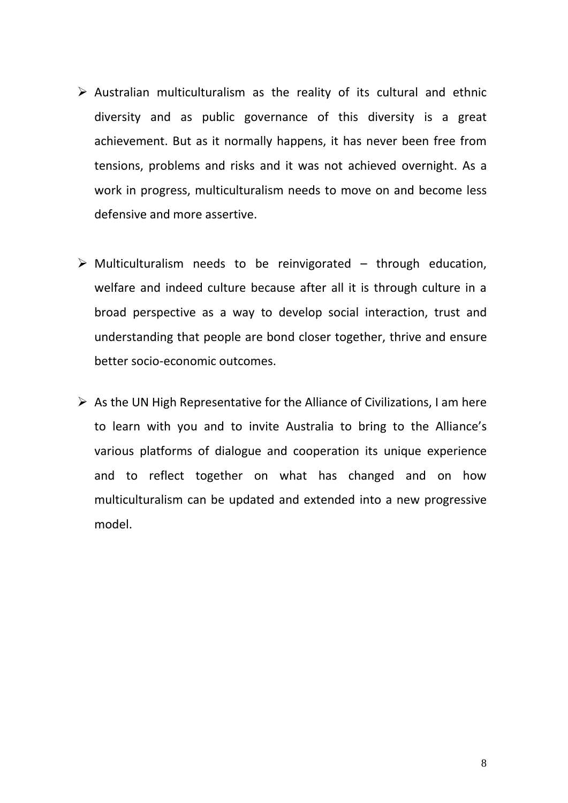- $\triangleright$  Australian multiculturalism as the reality of its cultural and ethnic diversity and as public governance of this diversity is a great achievement. But as it normally happens, it has never been free from tensions, problems and risks and it was not achieved overnight. As a work in progress, multiculturalism needs to move on and become less defensive and more assertive.
- $\triangleright$  Multiculturalism needs to be reinvigorated through education, welfare and indeed culture because after all it is through culture in a broad perspective as a way to develop social interaction, trust and understanding that people are bond closer together, thrive and ensure better socio-economic outcomes.
- $\triangleright$  As the UN High Representative for the Alliance of Civilizations, I am here to learn with you and to invite Australia to bring to the Alliance's various platforms of dialogue and cooperation its unique experience and to reflect together on what has changed and on how multiculturalism can be updated and extended into a new progressive model.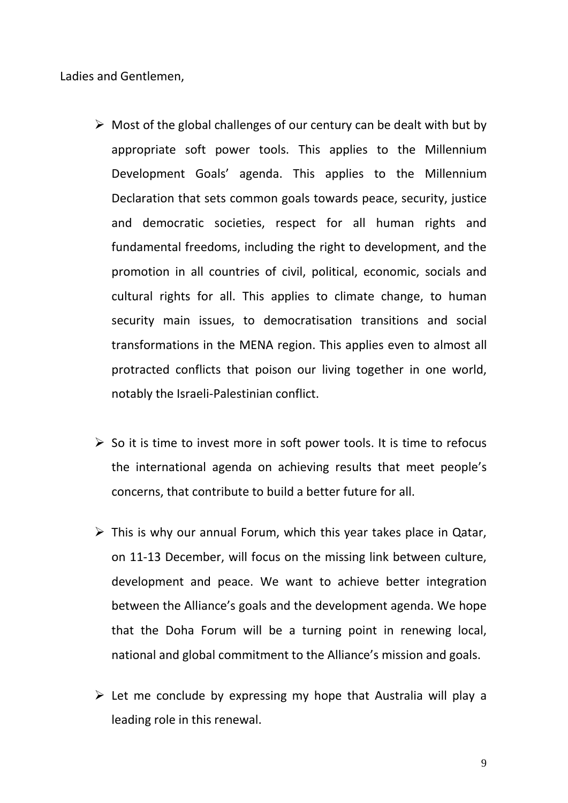Ladies and Gentlemen,

- $\triangleright$  Most of the global challenges of our century can be dealt with but by appropriate soft power tools. This applies to the Millennium Development Goals' agenda. This applies to the Millennium Declaration that sets common goals towards peace, security, justice and democratic societies, respect for all human rights and fundamental freedoms, including the right to development, and the promotion in all countries of civil, political, economic, socials and cultural rights for all. This applies to climate change, to human security main issues, to democratisation transitions and social transformations in the MENA region. This applies even to almost all protracted conflicts that poison our living together in one world, notably the Israeli-Palestinian conflict.
- $\triangleright$  So it is time to invest more in soft power tools. It is time to refocus the international agenda on achieving results that meet people's concerns, that contribute to build a better future for all.
- $\triangleright$  This is why our annual Forum, which this year takes place in Qatar, on 11-13 December, will focus on the missing link between culture, development and peace. We want to achieve better integration between the Alliance's goals and the development agenda. We hope that the Doha Forum will be a turning point in renewing local, national and global commitment to the Alliance's mission and goals.
- $\triangleright$  Let me conclude by expressing my hope that Australia will play a leading role in this renewal.